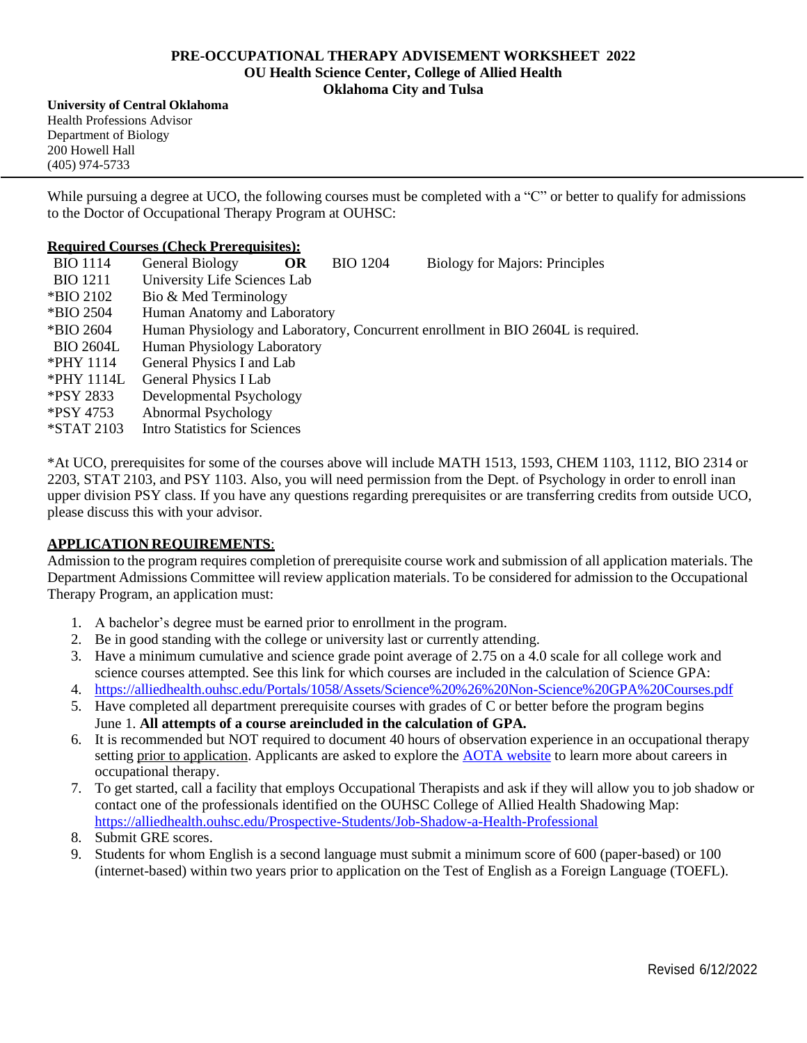### **PRE-OCCUPATIONAL THERAPY ADVISEMENT WORKSHEET 2022 OU Health Science Center, College of Allied Health Oklahoma City and Tulsa**

**University of Central Oklahoma** Health Professions Advisor Department of Biology 200 Howell Hall (405) 974-5733

While pursuing a degree at UCO, the following courses must be completed with a "C" or better to qualify for admissions to the Doctor of Occupational Therapy Program at OUHSC:

### **Required Courses (Check Prerequisites):**

| <b>BIO</b> 1114  | General Biology                                                                  | <b>OR</b> | <b>BIO 1204</b> | <b>Biology for Majors: Principles</b> |
|------------------|----------------------------------------------------------------------------------|-----------|-----------------|---------------------------------------|
| <b>BIO</b> 1211  | University Life Sciences Lab                                                     |           |                 |                                       |
| *BIO 2102        | Bio & Med Terminology                                                            |           |                 |                                       |
| *BIO 2504        | Human Anatomy and Laboratory                                                     |           |                 |                                       |
| *BIO 2604        | Human Physiology and Laboratory, Concurrent enrollment in BIO 2604L is required. |           |                 |                                       |
| <b>BIO 2604L</b> | Human Physiology Laboratory                                                      |           |                 |                                       |
| *PHY 1114        | General Physics I and Lab                                                        |           |                 |                                       |
| *PHY 1114L       | General Physics I Lab                                                            |           |                 |                                       |
| *PSY 2833        | Developmental Psychology                                                         |           |                 |                                       |
| *PSY 4753        | Abnormal Psychology                                                              |           |                 |                                       |
| *STAT 2103       | <b>Intro Statistics for Sciences</b>                                             |           |                 |                                       |

\*At UCO, prerequisites for some of the courses above will include MATH 1513, 1593, CHEM 1103, 1112, BIO 2314 or 2203, STAT 2103, and PSY 1103. Also, you will need permission from the Dept. of Psychology in order to enroll inan upper division PSY class. If you have any questions regarding prerequisites or are transferring credits from outside UCO, please discuss this with your advisor*.*

## **APPLICATION REQUIREMENTS**:

Admission to the program requires completion of prerequisite course work and submission of all application materials. The Department Admissions Committee will review application materials. To be considered for admission to the Occupational Therapy Program, an application must:

- 1. A bachelor's degree must be earned prior to enrollment in the program.
- 2. Be in good standing with the college or university last or currently attending.
- 3. Have a minimum cumulative and science grade point average of 2.75 on a 4.0 scale for all college work and science courses attempted. See this link for which courses are included in the calculation of Science GPA:
- 4. https://alliedhealth.ouhsc.edu/Portals/1058/Assets/Science%20%26%20Non-Science%20GPA%20Courses.pdf
- 5. Have completed all department prerequisite courses with grades of C or better before the program begins June 1. **All attempts of a course areincluded in the calculation of GPA.**
- 6. It is recommended but NOT required to document 40 hours of observation experience in an occupational therapy setting prior to application. Applicants are asked to explore the AOTA website to learn more about careers in occupational therapy.
- 7. To get started, call a facility that employs Occupational Therapists and ask if they will allow you to job shadow or contact one of the professionals identified on the OUHSC College of Allied Health Shadowing Map: https://alliedhealth.ouhsc.edu/Prospective-Students/Job-Shadow-a-Health-Professional
- 8. Submit GRE scores.
- 9. Students for whom English is a second language must submit a minimum score of 600 (paper-based) or 100 (internet-based) within two years prior to application on the Test of English as a Foreign Language (TOEFL).